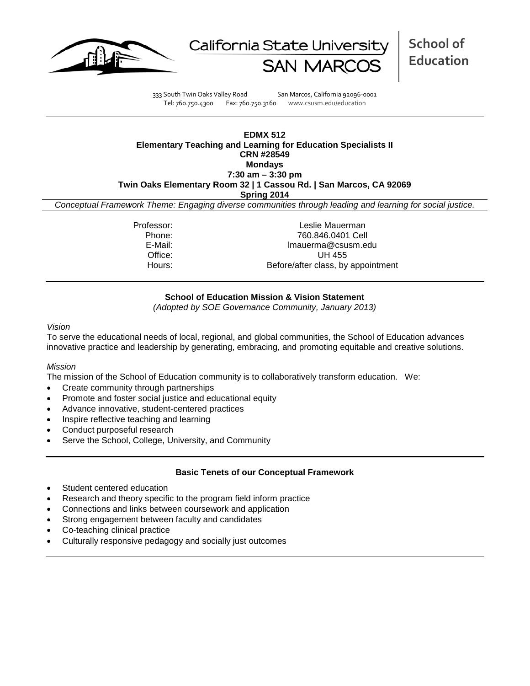



**School of Education**

333 South Twin Oaks Valley Road San Marcos, California 92096-0001 Tel: 760.750.4300 Fax: 760.750.3160 www.csusm.edu/education

## **EDMX 512 Elementary Teaching and Learning for Education Specialists II CRN #28549 Mondays 7:30 am – 3:30 pm Twin Oaks Elementary Room 32 | 1 Cassou Rd. | San Marcos, CA 92069**

**Spring 2014**

*Conceptual Framework Theme: Engaging diverse communities through leading and learning for social justice.*

Professor: Leslie Mauerman Phone: 760.846.0401 Cell<br>E-Mail: 760.846.0401 Cell E-Mail: lmauerma@csusm.edu Office: UH 455 Hours: Before/after class, by appointment

# **School of Education Mission & Vision Statement**

*(Adopted by SOE Governance Community, January 2013)*

#### *Vision*

To serve the educational needs of local, regional, and global communities, the School of Education advances innovative practice and leadership by generating, embracing, and promoting equitable and creative solutions.

### *Mission*

The mission of the School of Education community is to collaboratively transform education. We:

- Create community through partnerships
- Promote and foster social justice and educational equity
- Advance innovative, student-centered practices
- Inspire reflective teaching and learning
- Conduct purposeful research
- Serve the School, College, University, and Community

### **Basic Tenets of our Conceptual Framework**

- Student centered education
- Research and theory specific to the program field inform practice
- Connections and links between coursework and application
- Strong engagement between faculty and candidates
- Co-teaching clinical practice
- Culturally responsive pedagogy and socially just outcomes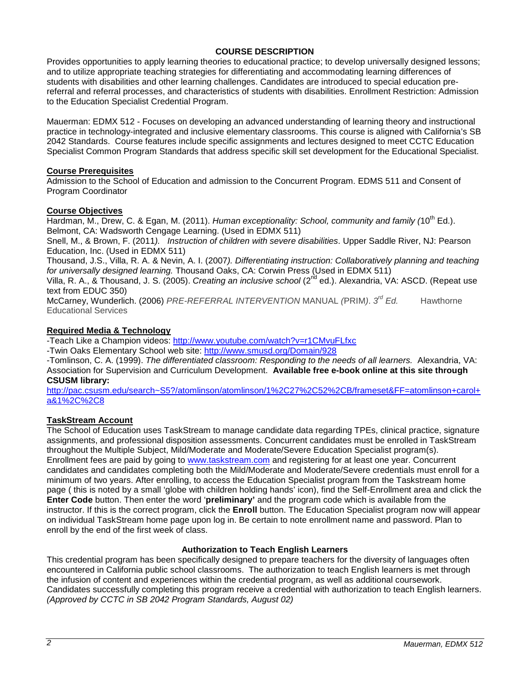# **COURSE DESCRIPTION**

Provides opportunities to apply learning theories to educational practice; to develop universally designed lessons; and to utilize appropriate teaching strategies for differentiating and accommodating learning differences of students with disabilities and other learning challenges. Candidates are introduced to special education prereferral and referral processes, and characteristics of students with disabilities. Enrollment Restriction: Admission to the Education Specialist Credential Program.

Mauerman: EDMX 512 - Focuses on developing an advanced understanding of learning theory and instructional practice in technology-integrated and inclusive elementary classrooms. This course is aligned with California's SB 2042 Standards. Course features include specific assignments and lectures designed to meet CCTC Education Specialist Common Program Standards that address specific skill set development for the Educational Specialist.

## **Course Prerequisites**

Admission to the School of Education and admission to the Concurrent Program. EDMS 511 and Consent of Program Coordinator

## **Course Objectives**

Hardman, M., Drew, C. & Egan, M. (2011). *Human exceptionality: School, community and family (*10<sup>th</sup> Ed.). Belmont, CA: Wadsworth Cengage Learning. (Used in EDMX 511)

Snell, M., & Brown, F. (2011*). Instruction of children with severe disabilities*. Upper Saddle River, NJ: Pearson Education, Inc. (Used in EDMX 511)

Thousand, J.S., Villa, R. A. & Nevin, A. I. (2007*). Differentiating instruction: Collaboratively planning and teaching for universally designed learning.* Thousand Oaks, CA: Corwin Press (Used in EDMX 511)

Villa, R. A., & Thousand, J. S. (2005). *Creating an inclusive school* (2<sup>nd</sup> ed.). Alexandria, VA: ASCD. (Repeat use text from EDUC 350)

McCarney, Wunderlich. (2006) *PRE-REFERRAL INTERVENTION* MANUAL *(*PRIM*)*. *3rd Ed.* Hawthorne Educational Services

## **Required Media & Technology**

-Teach Like a Champion videos:<http://www.youtube.com/watch?v=r1CMvuFLfxc>

-Twin Oaks Elementary School web site:<http://www.smusd.org/Domain/928>

-Tomlinson, C. A. (1999). *The differentiated classroom: Responding to the needs of all learners.* Alexandria, VA: Association for Supervision and Curriculum Development. **Available free e-book online at this site through CSUSM library:** 

[http://pac.csusm.edu/search~S5?/atomlinson/atomlinson/1%2C27%2C52%2CB/frameset&FF=atomlinson+carol+](http://pac.csusm.edu/search~S5?/atomlinson/atomlinson/1%2C27%2C52%2CB/frameset&FF=atomlinson+carol+a&1%2C%2C8) [a&1%2C%2C8](http://pac.csusm.edu/search~S5?/atomlinson/atomlinson/1%2C27%2C52%2CB/frameset&FF=atomlinson+carol+a&1%2C%2C8) 

# **TaskStream Account**

The School of Education uses TaskStream to manage candidate data regarding TPEs, clinical practice, signature assignments, and professional disposition assessments. Concurrent candidates must be enrolled in TaskStream throughout the Multiple Subject, Mild/Moderate and Moderate/Severe Education Specialist program(s). Enrollment fees are paid by going to [www.taskstream.com](https://copilot.csusm.edu/owa/redir.aspx?C=JQGRF98_YUaQtaUmRLCQfVWnwmJwxs9IDInTVMhk81xWIUA7hRT2uY6jlnFWAAXDSUJtKsld_Qs.&URL=http%3a%2f%2fwww.taskstrem.com) and registering for at least one year. Concurrent candidates and candidates completing both the Mild/Moderate and Moderate/Severe credentials must enroll for a minimum of two years. After enrolling, to access the Education Specialist program from the Taskstream home page ( this is noted by a small 'globe with children holding hands' icon), find the Self-Enrollment area and click the **Enter Code** button. Then enter the word '**preliminary'** and the program code which is available from the instructor. If this is the correct program, click the **Enroll** button. The Education Specialist program now will appear on individual TaskStream home page upon log in. Be certain to note enrollment name and password. Plan to enroll by the end of the first week of class.

### **Authorization to Teach English Learners**

This credential program has been specifically designed to prepare teachers for the diversity of languages often encountered in California public school classrooms. The authorization to teach English learners is met through the infusion of content and experiences within the credential program, as well as additional coursework. Candidates successfully completing this program receive a credential with authorization to teach English learners. *(Approved by CCTC in SB 2042 Program Standards, August 02)*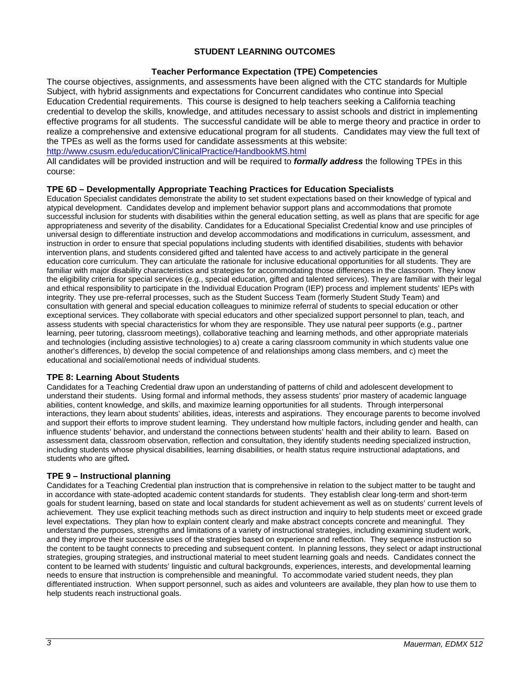## **STUDENT LEARNING OUTCOMES**

# **Teacher Performance Expectation (TPE) Competencies**

The course objectives, assignments, and assessments have been aligned with the CTC standards for Multiple Subject, with hybrid assignments and expectations for Concurrent candidates who continue into Special Education Credential requirements. This course is designed to help teachers seeking a California teaching credential to develop the skills, knowledge, and attitudes necessary to assist schools and district in implementing effective programs for all students. The successful candidate will be able to merge theory and practice in order to realize a comprehensive and extensive educational program for all students. Candidates may view the full text of the TPEs as well as the forms used for candidate assessments at this website:

<http://www.csusm.edu/education/ClinicalPractice/HandbookMS.html>

All candidates will be provided instruction and will be required to *formally address* the following TPEs in this course:

### **TPE 6D – Developmentally Appropriate Teaching Practices for Education Specialists**

Education Specialist candidates demonstrate the ability to set student expectations based on their knowledge of typical and atypical development. Candidates develop and implement behavior support plans and accommodations that promote successful inclusion for students with disabilities within the general education setting, as well as plans that are specific for age appropriateness and severity of the disability. Candidates for a Educational Specialist Credential know and use principles of universal design to differentiate instruction and develop accommodations and modifications in curriculum, assessment, and instruction in order to ensure that special populations including students with identified disabilities, students with behavior intervention plans, and students considered gifted and talented have access to and actively participate in the general education core curriculum. They can articulate the rationale for inclusive educational opportunities for all students. They are familiar with major disability characteristics and strategies for accommodating those differences in the classroom. They know the eligibility criteria for special services (e.g., special education, gifted and talented services). They are familiar with their legal and ethical responsibility to participate in the Individual Education Program (IEP) process and implement students' IEPs with integrity. They use pre-referral processes, such as the Student Success Team (formerly Student Study Team) and consultation with general and special education colleagues to minimize referral of students to special education or other exceptional services. They collaborate with special educators and other specialized support personnel to plan, teach, and assess students with special characteristics for whom they are responsible. They use natural peer supports (e.g., partner learning, peer tutoring, classroom meetings), collaborative teaching and learning methods, and other appropriate materials and technologies (including assistive technologies) to a) create a caring classroom community in which students value one another's differences, b) develop the social competence of and relationships among class members, and c) meet the educational and social/emotional needs of individual students.

### **TPE 8: Learning About Students**

Candidates for a Teaching Credential draw upon an understanding of patterns of child and adolescent development to understand their students. Using formal and informal methods, they assess students' prior mastery of academic language abilities, content knowledge, and skills, and maximize learning opportunities for all students. Through interpersonal interactions, they learn about students' abilities, ideas, interests and aspirations. They encourage parents to become involved and support their efforts to improve student learning. They understand how multiple factors, including gender and health, can influence students' behavior, and understand the connections between students' health and their ability to learn.Based on assessment data, classroom observation, reflection and consultation, they identify students needing specialized instruction, including students whose physical disabilities, learning disabilities, or health status require instructional adaptations, and students who are gifted**.** 

### **TPE 9 – Instructional planning**

Candidates for a Teaching Credential plan instruction that is comprehensive in relation to the subject matter to be taught and in accordance with state-adopted academic content standards for students. They establish clear long-term and short-term goals for student learning, based on state and local standards for student achievement as well as on students' current levels of achievement. They use explicit teaching methods such as direct instruction and inquiry to help students meet or exceed grade level expectations. They plan how to explain content clearly and make abstract concepts concrete and meaningful. They understand the purposes, strengths and limitations of a variety of instructional strategies, including examining student work, and they improve their successive uses of the strategies based on experience and reflection. They sequence instruction so the content to be taught connects to preceding and subsequent content. In planning lessons, they select or adapt instructional strategies, grouping strategies, and instructional material to meet student learning goals and needs. Candidates connect the content to be learned with students' linguistic and cultural backgrounds, experiences, interests, and developmental learning needs to ensure that instruction is comprehensible and meaningful. To accommodate varied student needs, they plan differentiated instruction. When support personnel, such as aides and volunteers are available, they plan how to use them to help students reach instructional goals.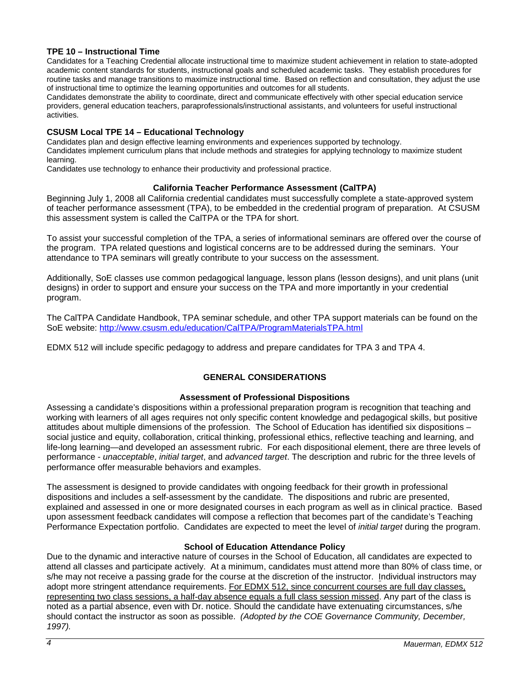## **TPE 10 – Instructional Time**

Candidates for a Teaching Credential allocate instructional time to maximize student achievement in relation to state-adopted academic content standards for students, instructional goals and scheduled academic tasks. They establish procedures for routine tasks and manage transitions to maximize instructional time. Based on reflection and consultation, they adjust the use of instructional time to optimize the learning opportunities and outcomes for all students.

Candidates demonstrate the ability to coordinate, direct and communicate effectively with other special education service providers, general education teachers, paraprofessionals/instructional assistants, and volunteers for useful instructional activities.

## **CSUSM Local TPE 14 – Educational Technology**

Candidates plan and design effective learning environments and experiences supported by technology. Candidates implement curriculum plans that include methods and strategies for applying technology to maximize student learning.

Candidates use technology to enhance their productivity and professional practice.

## **California Teacher Performance Assessment (CalTPA)**

Beginning July 1, 2008 all California credential candidates must successfully complete a state-approved system of teacher performance assessment (TPA), to be embedded in the credential program of preparation. At CSUSM this assessment system is called the CalTPA or the TPA for short.

To assist your successful completion of the TPA, a series of informational seminars are offered over the course of the program. TPA related questions and logistical concerns are to be addressed during the seminars. Your attendance to TPA seminars will greatly contribute to your success on the assessment.

Additionally, SoE classes use common pedagogical language, lesson plans (lesson designs), and unit plans (unit designs) in order to support and ensure your success on the TPA and more importantly in your credential program.

The CalTPA Candidate Handbook, TPA seminar schedule, and other TPA support materials can be found on the SoE website: <http://www.csusm.edu/education/CalTPA/ProgramMaterialsTPA.html>

EDMX 512 will include specific pedagogy to address and prepare candidates for TPA 3 and TPA 4.

# **GENERAL CONSIDERATIONS**

### **Assessment of Professional Dispositions**

Assessing a candidate's dispositions within a professional preparation program is recognition that teaching and working with learners of all ages requires not only specific content knowledge and pedagogical skills, but positive attitudes about multiple dimensions of the profession. The School of Education has identified six dispositions – social justice and equity, collaboration, critical thinking, professional ethics, reflective teaching and learning, and life-long learning—and developed an assessment rubric. For each dispositional element, there are three levels of performance - *unacceptable*, *initial target*, and *advanced target*. The description and rubric for the three levels of performance offer measurable behaviors and examples.

The assessment is designed to provide candidates with ongoing feedback for their growth in professional dispositions and includes a self-assessment by the candidate. The dispositions and rubric are presented, explained and assessed in one or more designated courses in each program as well as in clinical practice. Based upon assessment feedback candidates will compose a reflection that becomes part of the candidate's Teaching Performance Expectation portfolio. Candidates are expected to meet the level of *initial target* during the program.

### **School of Education Attendance Policy**

Due to the dynamic and interactive nature of courses in the School of Education, all candidates are expected to attend all classes and participate actively. At a minimum, candidates must attend more than 80% of class time, or s/he may not receive a passing grade for the course at the discretion of the instructor. Individual instructors may adopt more stringent attendance requirements. For EDMX 512, since concurrent courses are full day classes, representing two class sessions, a half-day absence equals a full class session missed. Any part of the class is noted as a partial absence, even with Dr. notice. Should the candidate have extenuating circumstances, s/he should contact the instructor as soon as possible. *(Adopted by the COE Governance Community, December, 1997).*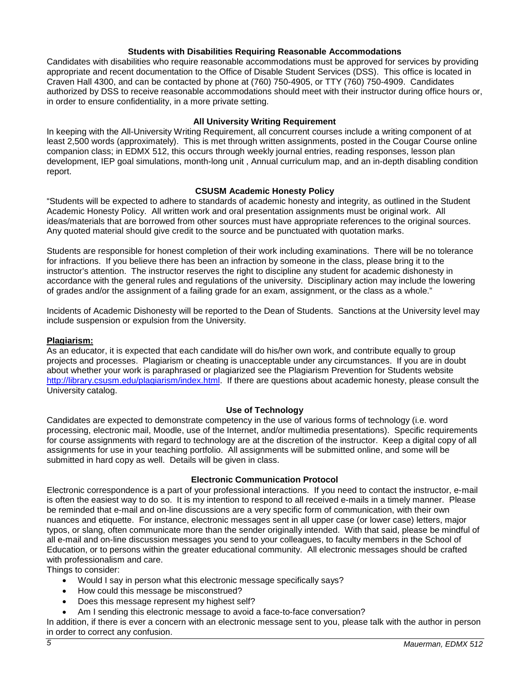### **Students with Disabilities Requiring Reasonable Accommodations**

Candidates with disabilities who require reasonable accommodations must be approved for services by providing appropriate and recent documentation to the Office of Disable Student Services (DSS). This office is located in Craven Hall 4300, and can be contacted by phone at (760) 750-4905, or TTY (760) 750-4909. Candidates authorized by DSS to receive reasonable accommodations should meet with their instructor during office hours or, in order to ensure confidentiality, in a more private setting.

# **All University Writing Requirement**

In keeping with the All-University Writing Requirement, all concurrent courses include a writing component of at least 2,500 words (approximately). This is met through written assignments, posted in the Cougar Course online companion class; in EDMX 512, this occurs through weekly journal entries, reading responses, lesson plan development, IEP goal simulations, month-long unit , Annual curriculum map, and an in-depth disabling condition report.

# **CSUSM Academic Honesty Policy**

"Students will be expected to adhere to standards of academic honesty and integrity, as outlined in the Student Academic Honesty Policy. All written work and oral presentation assignments must be original work. All ideas/materials that are borrowed from other sources must have appropriate references to the original sources. Any quoted material should give credit to the source and be punctuated with quotation marks.

Students are responsible for honest completion of their work including examinations. There will be no tolerance for infractions. If you believe there has been an infraction by someone in the class, please bring it to the instructor's attention. The instructor reserves the right to discipline any student for academic dishonesty in accordance with the general rules and regulations of the university. Disciplinary action may include the lowering of grades and/or the assignment of a failing grade for an exam, assignment, or the class as a whole."

Incidents of Academic Dishonesty will be reported to the Dean of Students. Sanctions at the University level may include suspension or expulsion from the University.

### **Plagiarism:**

As an educator, it is expected that each candidate will do his/her own work, and contribute equally to group projects and processes. Plagiarism or cheating is unacceptable under any circumstances. If you are in doubt about whether your work is paraphrased or plagiarized see the Plagiarism Prevention for Students website [http://library.csusm.edu/plagiarism/index.html.](http://library.csusm.edu/plagiarism/index.html) If there are questions about academic honesty, please consult the University catalog.

### **Use of Technology**

Candidates are expected to demonstrate competency in the use of various forms of technology (i.e. word processing, electronic mail, Moodle, use of the Internet, and/or multimedia presentations). Specific requirements for course assignments with regard to technology are at the discretion of the instructor. Keep a digital copy of all assignments for use in your teaching portfolio. All assignments will be submitted online, and some will be submitted in hard copy as well. Details will be given in class.

### **Electronic Communication Protocol**

Electronic correspondence is a part of your professional interactions. If you need to contact the instructor, e-mail is often the easiest way to do so. It is my intention to respond to all received e-mails in a timely manner. Please be reminded that e-mail and on-line discussions are a very specific form of communication, with their own nuances and etiquette. For instance, electronic messages sent in all upper case (or lower case) letters, major typos, or slang, often communicate more than the sender originally intended. With that said, please be mindful of all e-mail and on-line discussion messages you send to your colleagues, to faculty members in the School of Education, or to persons within the greater educational community. All electronic messages should be crafted with professionalism and care.

Things to consider:

- Would I say in person what this electronic message specifically says?
- How could this message be misconstrued?
- Does this message represent my highest self?
- Am I sending this electronic message to avoid a face-to-face conversation?

In addition, if there is ever a concern with an electronic message sent to you, please talk with the author in person in order to correct any confusion.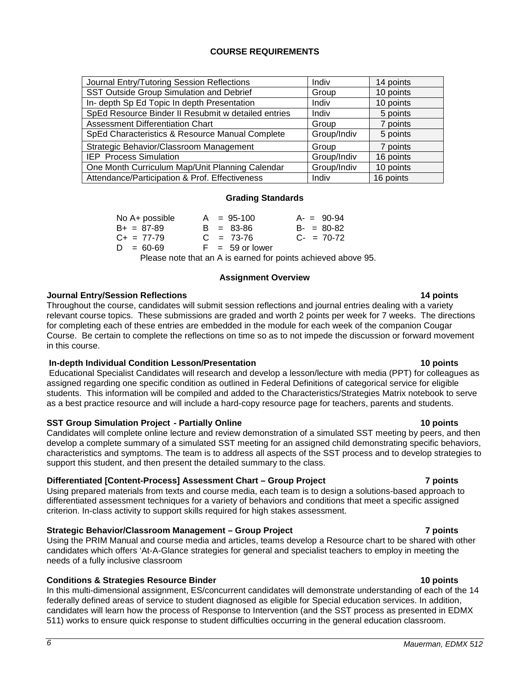# **COURSE REQUIREMENTS**

| Journal Entry/Tutoring Session Reflections          | Indiv       | 14 points |
|-----------------------------------------------------|-------------|-----------|
| SST Outside Group Simulation and Debrief            | Group       | 10 points |
| In- depth Sp Ed Topic In depth Presentation         | Indiv       | 10 points |
| SpEd Resource Binder II Resubmit w detailed entries | Indiv       | 5 points  |
| Assessment Differentiation Chart                    | Group       | 7 points  |
| SpEd Characteristics & Resource Manual Complete     | Group/Indiv | 5 points  |
| Strategic Behavior/Classroom Management             | Group       | 7 points  |
| <b>IEP</b> Process Simulation                       | Group/Indiv | 16 points |
| One Month Curriculum Map/Unit Planning Calendar     | Group/Indiv | 10 points |
| Attendance/Participation & Prof. Effectiveness      | Indiv       | 16 points |

### **Grading Standards**

| No A+ possible  | $A = 95-100$      | $A - = 90-94$   |
|-----------------|-------------------|-----------------|
| $B+ = 87-89$    | $B = 83 - 86$     | $B - = 80 - 82$ |
| $C_{+}$ = 77-79 | $C = 73-76$       | $C - = 70-72$   |
| $D = 60 - 69$   | $F = 59$ or lower |                 |
|                 |                   |                 |

Please note that an A is earned for points achieved above 95.

### **Assignment Overview**

## **Journal Entry/Session Reflections 14 points**

Throughout the course, candidates will submit session reflections and journal entries dealing with a variety relevant course topics. These submissions are graded and worth 2 points per week for 7 weeks. The directions for completing each of these entries are embedded in the module for each week of the companion Cougar Course. Be certain to complete the reflections on time so as to not impede the discussion or forward movement in this course.

# **In-depth Individual Condition Lesson/Presentation 10 points**

Educational Specialist Candidates will research and develop a lesson/lecture with media (PPT) for colleagues as assigned regarding one specific condition as outlined in Federal Definitions of categorical service for eligible students. This information will be compiled and added to the Characteristics/Strategies Matrix notebook to serve as a best practice resource and will include a hard-copy resource page for teachers, parents and students.

# **SST Group Simulation Project - Partially Online 10 points**

Candidates will complete online lecture and review demonstration of a simulated SST meeting by peers, and then develop a complete summary of a simulated SST meeting for an assigned child demonstrating specific behaviors, characteristics and symptoms. The team is to address all aspects of the SST process and to develop strategies to support this student, and then present the detailed summary to the class.

# **Differentiated [Content-Process] Assessment Chart – Group Project 7 points**

Using prepared materials from texts and course media, each team is to design a solutions-based approach to differentiated assessment techniques for a variety of behaviors and conditions that meet a specific assigned criterion. In-class activity to support skills required for high stakes assessment.

# **Strategic Behavior/Classroom Management – Group Project 7 points**

Using the PRIM Manual and course media and articles, teams develop a Resource chart to be shared with other candidates which offers 'At-A-Glance strategies for general and specialist teachers to employ in meeting the needs of a fully inclusive classroom

# **Conditions & Strategies Resource Binder 10 points**

In this multi-dimensional assignment, ES/concurrent candidates will demonstrate understanding of each of the 14 federally defined areas of service to student diagnosed as eligible for Special education services. In addition, candidates will learn how the process of Response to Intervention (and the SST process as presented in EDMX 511) works to ensure quick response to student difficulties occurring in the general education classroom.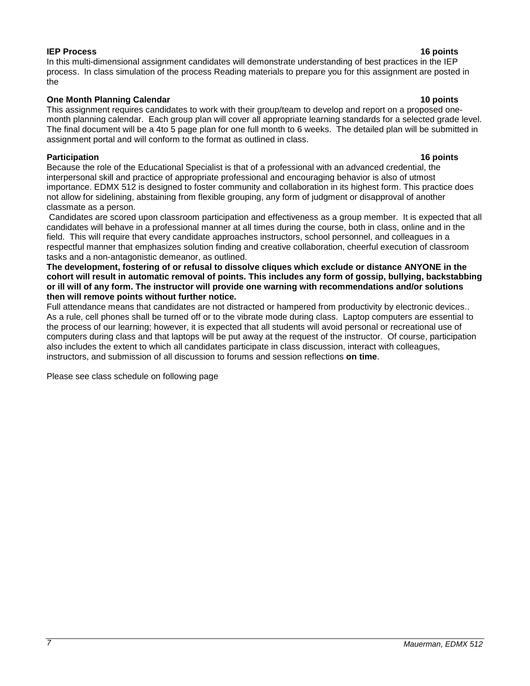# **IEP Process 16 points**

In this multi-dimensional assignment candidates will demonstrate understanding of best practices in the IEP process. In class simulation of the process Reading materials to prepare you for this assignment are posted in the

# **One Month Planning Calendar 10 points**

This assignment requires candidates to work with their group/team to develop and report on a proposed onemonth planning calendar. Each group plan will cover all appropriate learning standards for a selected grade level. The final document will be a 4to 5 page plan for one full month to 6 weeks. The detailed plan will be submitted in assignment portal and will conform to the format as outlined in class.

# **Participation 16 points**

Because the role of the Educational Specialist is that of a professional with an advanced credential, the interpersonal skill and practice of appropriate professional and encouraging behavior is also of utmost importance. EDMX 512 is designed to foster community and collaboration in its highest form. This practice does not allow for sidelining, abstaining from flexible grouping, any form of judgment or disapproval of another classmate as a person.

Candidates are scored upon classroom participation and effectiveness as a group member. It is expected that all candidates will behave in a professional manner at all times during the course, both in class, online and in the field. This will require that every candidate approaches instructors, school personnel, and colleagues in a respectful manner that emphasizes solution finding and creative collaboration, cheerful execution of classroom tasks and a non-antagonistic demeanor, as outlined.

**The development, fostering of or refusal to dissolve cliques which exclude or distance ANYONE in the cohort will result in automatic removal of points. This includes any form of gossip, bullying, backstabbing or ill will of any form. The instructor will provide one warning with recommendations and/or solutions then will remove points without further notice.** 

Full attendance means that candidates are not distracted or hampered from productivity by electronic devices.. As a rule, cell phones shall be turned off or to the vibrate mode during class. Laptop computers are essential to the process of our learning; however, it is expected that all students will avoid personal or recreational use of computers during class and that laptops will be put away at the request of the instructor. Of course, participation also includes the extent to which all candidates participate in class discussion, interact with colleagues, instructors, and submission of all discussion to forums and session reflections **on time**.

Please see class schedule on following page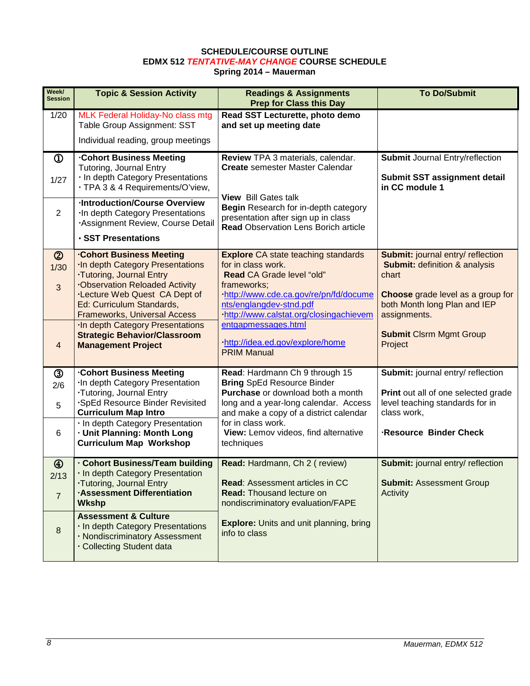## **SCHEDULE/COURSE OUTLINE EDMX 512** *TENTATIVE-MAY CHANGE* **COURSE SCHEDULE Spring 2014 – Mauerman**

| Week/<br><b>Session</b>                                  | <b>Topic &amp; Session Activity</b>                                                                                                                                                                                                                                                              | <b>Readings &amp; Assignments</b><br><b>Prep for Class this Day</b>                                                                                                                                                               | <b>To Do/Submit</b>                                                                                                                                                         |
|----------------------------------------------------------|--------------------------------------------------------------------------------------------------------------------------------------------------------------------------------------------------------------------------------------------------------------------------------------------------|-----------------------------------------------------------------------------------------------------------------------------------------------------------------------------------------------------------------------------------|-----------------------------------------------------------------------------------------------------------------------------------------------------------------------------|
| 1/20                                                     | MLK Federal Holiday-No class mtg<br>Table Group Assignment: SST<br>Individual reading, group meetings                                                                                                                                                                                            | Read SST Lecturette, photo demo<br>and set up meeting date                                                                                                                                                                        |                                                                                                                                                                             |
| $^{\circledR}$<br>1/27                                   | <b>Cohort Business Meeting</b><br>Tutoring, Journal Entry<br>· In depth Category Presentations<br>· TPA 3 & 4 Requirements/O'view,                                                                                                                                                               | Review TPA 3 materials, calendar.<br><b>Create</b> semester Master Calendar<br>View Bill Gates talk                                                                                                                               | <b>Submit Journal Entry/reflection</b><br>Submit SST assignment detail<br>in CC module 1                                                                                    |
| $\overline{2}$                                           | <b>Introduction/Course Overview</b><br>In depth Category Presentations<br><b>Assignment Review, Course Detail</b><br>· SST Presentations                                                                                                                                                         | Begin Research for in-depth category<br>presentation after sign up in class<br><b>Read Observation Lens Borich article</b>                                                                                                        |                                                                                                                                                                             |
| $^{\circledR}$<br>1/30<br>3                              | <b>Cohort Business Meeting</b><br>In depth Category Presentations<br>.Tutoring, Journal Entry<br><b>Observation Reloaded Activity</b><br><b>Lecture Web Quest CA Dept of</b><br>Ed: Curriculum Standards,<br><b>Frameworks, Universal Access</b>                                                 | <b>Explore CA state teaching standards</b><br>for in class work.<br><b>Read CA Grade level "old"</b><br>frameworks;<br>http://www.cde.ca.gov/re/pn/fd/docume<br>nts/englangdev-stnd.pdf<br>http://www.calstat.org/closingachievem | Submit: journal entry/ reflection<br><b>Submit: definition &amp; analysis</b><br>chart<br>Choose grade level as a group for<br>both Month long Plan and IEP<br>assignments. |
| $\overline{4}$                                           | In depth Category Presentations<br><b>Strategic Behavior/Classroom</b><br><b>Management Project</b>                                                                                                                                                                                              | entgapmessages.html<br>http://idea.ed.gov/explore/home<br><b>PRIM Manual</b>                                                                                                                                                      | <b>Submit Clsrm Mgmt Group</b><br>Project                                                                                                                                   |
| ③<br>2/6<br>5                                            | <b>Cohort Business Meeting</b><br>In depth Category Presentation<br>·Tutoring, Journal Entry<br>·SpEd Resource Binder Revisited<br><b>Curriculum Map Intro</b>                                                                                                                                   | Read: Hardmann Ch 9 through 15<br><b>Bring SpEd Resource Binder</b><br>Purchase or download both a month<br>long and a year-long calendar. Access<br>and make a copy of a district calendar                                       | Submit: journal entry/ reflection<br>Print out all of one selected grade<br>level teaching standards for in<br>class work,                                                  |
| 6                                                        | · In depth Category Presentation<br>· Unit Planning: Month Long<br><b>Curriculum Map Workshop</b>                                                                                                                                                                                                | for in class work.<br>View: Lemov videos, find alternative<br>techniques                                                                                                                                                          | Resource Binder Check                                                                                                                                                       |
| $\bigcirc$<br>2/13<br>$\overline{7}$<br>$\boldsymbol{8}$ | . Cohort Business/Team building<br>• In depth Category Presentation<br><b>·Tutoring, Journal Entry</b><br><b>Assessment Differentiation</b><br><b>Wkshp</b><br><b>Assessment &amp; Culture</b><br>· In depth Category Presentations<br>· Nondiscriminatory Assessment<br>Collecting Student data | Read: Hardmann, Ch 2 (review)<br><b>Read: Assessment articles in CC</b><br>Read: Thousand lecture on<br>nondiscriminatory evaluation/FAPE<br><b>Explore:</b> Units and unit planning, bring<br>info to class                      | Submit: journal entry/ reflection<br><b>Submit: Assessment Group</b><br>Activity                                                                                            |